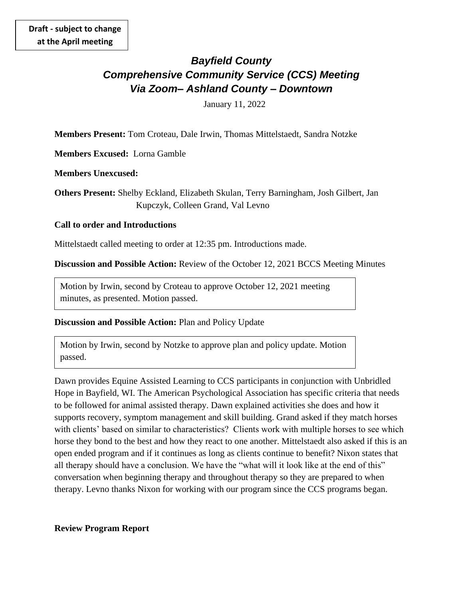# *Bayfield County Comprehensive Community Service (CCS) Meeting Via Zoom– Ashland County – Downtown*

January 11, 2022

**Members Present:** Tom Croteau, Dale Irwin, Thomas Mittelstaedt, Sandra Notzke

**Members Excused:** Lorna Gamble

**Members Unexcused:** 

**Others Present:** Shelby Eckland, Elizabeth Skulan, Terry Barningham, Josh Gilbert, Jan Kupczyk, Colleen Grand, Val Levno

### **Call to order and Introductions**

Mittelstaedt called meeting to order at 12:35 pm. Introductions made.

**Discussion and Possible Action:** Review of the October 12, 2021 BCCS Meeting Minutes

Motion by Irwin, second by Croteau to approve October 12, 2021 meeting minutes, as presented. Motion passed.

#### **Discussion and Possible Action:** Plan and Policy Update

Motion by Irwin, second by Notzke to approve plan and policy update. Motion passed.

Dawn provides Equine Assisted Learning to CCS participants in conjunction with Unbridled Hope in Bayfield, WI. The American Psychological Association has specific criteria that needs to be followed for animal assisted therapy. Dawn explained activities she does and how it supports recovery, symptom management and skill building. Grand asked if they match horses with clients' based on similar to characteristics? Clients work with multiple horses to see which horse they bond to the best and how they react to one another. Mittelstaedt also asked if this is an open ended program and if it continues as long as clients continue to benefit? Nixon states that all therapy should have a conclusion. We have the "what will it look like at the end of this" conversation when beginning therapy and throughout therapy so they are prepared to when therapy. Levno thanks Nixon for working with our program since the CCS programs began.

#### **Review Program Report**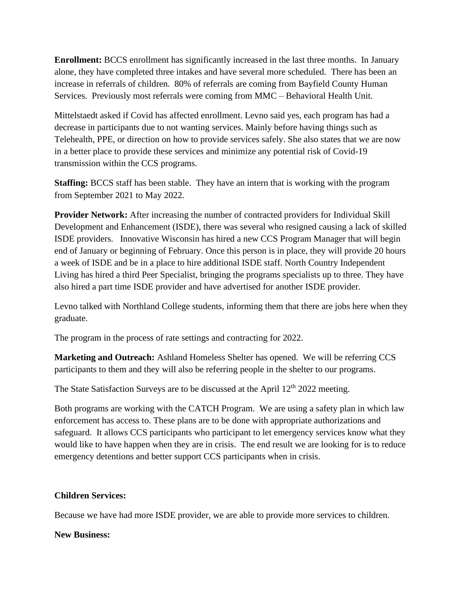**Enrollment:** BCCS enrollment has significantly increased in the last three months. In January alone, they have completed three intakes and have several more scheduled. There has been an increase in referrals of children. 80% of referrals are coming from Bayfield County Human Services. Previously most referrals were coming from MMC – Behavioral Health Unit.

Mittelstaedt asked if Covid has affected enrollment. Levno said yes, each program has had a decrease in participants due to not wanting services. Mainly before having things such as Telehealth, PPE, or direction on how to provide services safely. She also states that we are now in a better place to provide these services and minimize any potential risk of Covid-19 transmission within the CCS programs.

**Staffing: BCCS** staff has been stable. They have an intern that is working with the program from September 2021 to May 2022.

**Provider Network:** After increasing the number of contracted providers for Individual Skill Development and Enhancement (ISDE), there was several who resigned causing a lack of skilled ISDE providers. Innovative Wisconsin has hired a new CCS Program Manager that will begin end of January or beginning of February. Once this person is in place, they will provide 20 hours a week of ISDE and be in a place to hire additional ISDE staff. North Country Independent Living has hired a third Peer Specialist, bringing the programs specialists up to three. They have also hired a part time ISDE provider and have advertised for another ISDE provider.

Levno talked with Northland College students, informing them that there are jobs here when they graduate.

The program in the process of rate settings and contracting for 2022.

**Marketing and Outreach:** Ashland Homeless Shelter has opened. We will be referring CCS participants to them and they will also be referring people in the shelter to our programs.

The State Satisfaction Surveys are to be discussed at the April  $12<sup>th</sup> 2022$  meeting.

Both programs are working with the CATCH Program. We are using a safety plan in which law enforcement has access to. These plans are to be done with appropriate authorizations and safeguard. It allows CCS participants who participant to let emergency services know what they would like to have happen when they are in crisis. The end result we are looking for is to reduce emergency detentions and better support CCS participants when in crisis.

### **Children Services:**

Because we have had more ISDE provider, we are able to provide more services to children.

### **New Business:**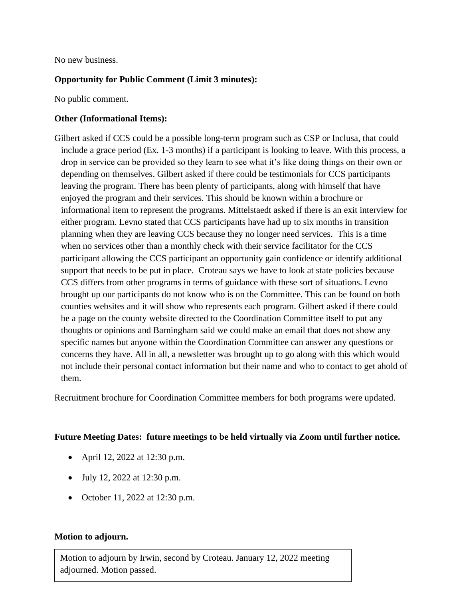No new business.

## **Opportunity for Public Comment (Limit 3 minutes):**

No public comment.

### **Other (Informational Items):**

Gilbert asked if CCS could be a possible long-term program such as CSP or Inclusa, that could include a grace period (Ex. 1-3 months) if a participant is looking to leave. With this process, a drop in service can be provided so they learn to see what it's like doing things on their own or depending on themselves. Gilbert asked if there could be testimonials for CCS participants leaving the program. There has been plenty of participants, along with himself that have enjoyed the program and their services. This should be known within a brochure or informational item to represent the programs. Mittelstaedt asked if there is an exit interview for either program. Levno stated that CCS participants have had up to six months in transition planning when they are leaving CCS because they no longer need services. This is a time when no services other than a monthly check with their service facilitator for the CCS participant allowing the CCS participant an opportunity gain confidence or identify additional support that needs to be put in place. Croteau says we have to look at state policies because CCS differs from other programs in terms of guidance with these sort of situations. Levno brought up our participants do not know who is on the Committee. This can be found on both counties websites and it will show who represents each program. Gilbert asked if there could be a page on the county website directed to the Coordination Committee itself to put any thoughts or opinions and Barningham said we could make an email that does not show any specific names but anyone within the Coordination Committee can answer any questions or concerns they have. All in all, a newsletter was brought up to go along with this which would not include their personal contact information but their name and who to contact to get ahold of them.

Recruitment brochure for Coordination Committee members for both programs were updated.

### **Future Meeting Dates: future meetings to be held virtually via Zoom until further notice.**

- April 12, 2022 at 12:30 p.m.
- July 12, 2022 at 12:30 p.m.
- October 11, 2022 at 12:30 p.m.

### **Motion to adjourn.**

Motion to adjourn by Irwin, second by Croteau. January 12, 2022 meeting adjourned. Motion passed.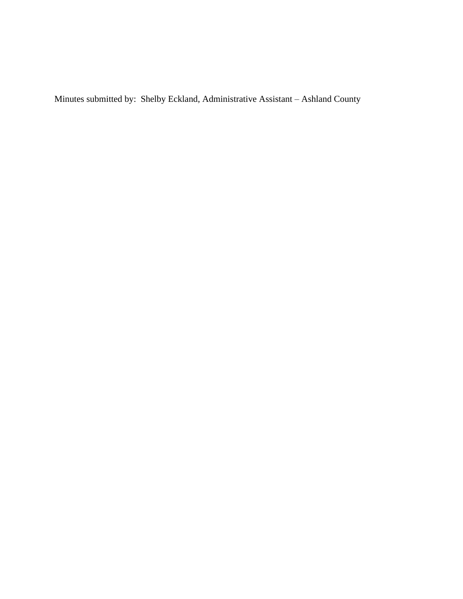Minutes submitted by: Shelby Eckland, Administrative Assistant – Ashland County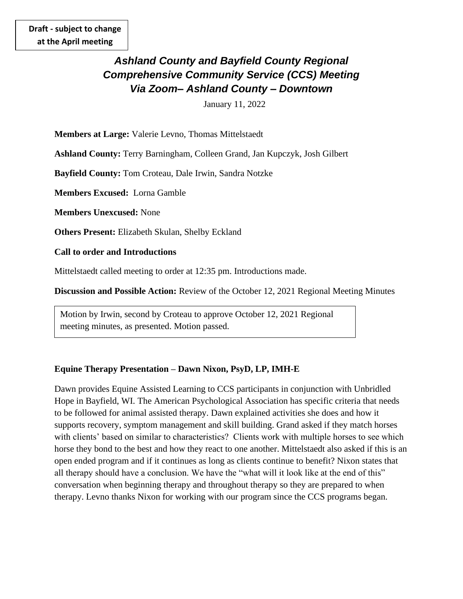# *Ashland County and Bayfield County Regional Comprehensive Community Service (CCS) Meeting Via Zoom– Ashland County – Downtown*

January 11, 2022

**Members at Large:** Valerie Levno, Thomas Mittelstaedt

**Ashland County:** Terry Barningham, Colleen Grand, Jan Kupczyk, Josh Gilbert

**Bayfield County:** Tom Croteau, Dale Irwin, Sandra Notzke

**Members Excused:** Lorna Gamble

**Members Unexcused:** None

**Others Present:** Elizabeth Skulan, Shelby Eckland

**Call to order and Introductions**

Mittelstaedt called meeting to order at 12:35 pm. Introductions made.

**Discussion and Possible Action:** Review of the October 12, 2021 Regional Meeting Minutes

Motion by Irwin, second by Croteau to approve October 12, 2021 Regional meeting minutes, as presented. Motion passed.

### **Equine Therapy Presentation – Dawn Nixon, PsyD, LP, IMH-E**

Dawn provides Equine Assisted Learning to CCS participants in conjunction with Unbridled Hope in Bayfield, WI. The American Psychological Association has specific criteria that needs to be followed for animal assisted therapy. Dawn explained activities she does and how it supports recovery, symptom management and skill building. Grand asked if they match horses with clients' based on similar to characteristics? Clients work with multiple horses to see which horse they bond to the best and how they react to one another. Mittelstaedt also asked if this is an open ended program and if it continues as long as clients continue to benefit? Nixon states that all therapy should have a conclusion. We have the "what will it look like at the end of this" conversation when beginning therapy and throughout therapy so they are prepared to when therapy. Levno thanks Nixon for working with our program since the CCS programs began.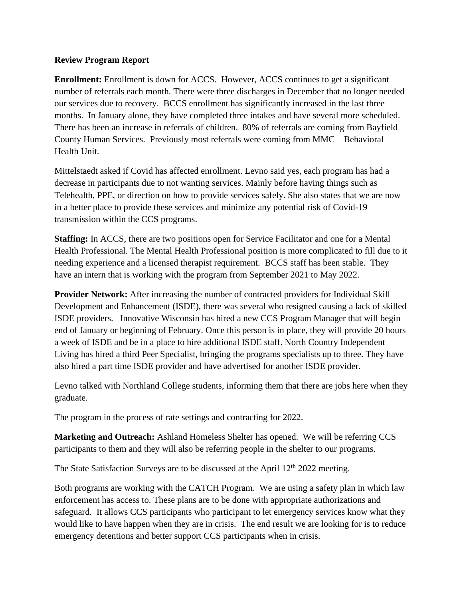### **Review Program Report**

**Enrollment:** Enrollment is down for ACCS. However, ACCS continues to get a significant number of referrals each month. There were three discharges in December that no longer needed our services due to recovery. BCCS enrollment has significantly increased in the last three months. In January alone, they have completed three intakes and have several more scheduled. There has been an increase in referrals of children. 80% of referrals are coming from Bayfield County Human Services. Previously most referrals were coming from MMC – Behavioral Health Unit.

Mittelstaedt asked if Covid has affected enrollment. Levno said yes, each program has had a decrease in participants due to not wanting services. Mainly before having things such as Telehealth, PPE, or direction on how to provide services safely. She also states that we are now in a better place to provide these services and minimize any potential risk of Covid-19 transmission within the CCS programs.

**Staffing:** In ACCS, there are two positions open for Service Facilitator and one for a Mental Health Professional. The Mental Health Professional position is more complicated to fill due to it needing experience and a licensed therapist requirement. BCCS staff has been stable. They have an intern that is working with the program from September 2021 to May 2022.

**Provider Network:** After increasing the number of contracted providers for Individual Skill Development and Enhancement (ISDE), there was several who resigned causing a lack of skilled ISDE providers. Innovative Wisconsin has hired a new CCS Program Manager that will begin end of January or beginning of February. Once this person is in place, they will provide 20 hours a week of ISDE and be in a place to hire additional ISDE staff. North Country Independent Living has hired a third Peer Specialist, bringing the programs specialists up to three. They have also hired a part time ISDE provider and have advertised for another ISDE provider.

Levno talked with Northland College students, informing them that there are jobs here when they graduate.

The program in the process of rate settings and contracting for 2022.

**Marketing and Outreach:** Ashland Homeless Shelter has opened. We will be referring CCS participants to them and they will also be referring people in the shelter to our programs.

The State Satisfaction Surveys are to be discussed at the April  $12<sup>th</sup> 2022$  meeting.

Both programs are working with the CATCH Program. We are using a safety plan in which law enforcement has access to. These plans are to be done with appropriate authorizations and safeguard. It allows CCS participants who participant to let emergency services know what they would like to have happen when they are in crisis. The end result we are looking for is to reduce emergency detentions and better support CCS participants when in crisis.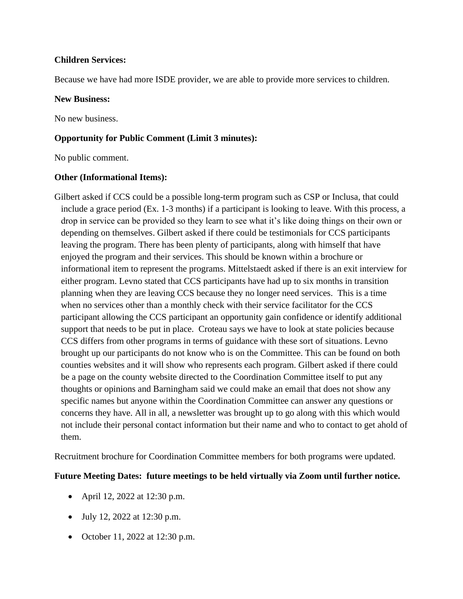### **Children Services:**

Because we have had more ISDE provider, we are able to provide more services to children.

### **New Business:**

No new business.

## **Opportunity for Public Comment (Limit 3 minutes):**

No public comment.

## **Other (Informational Items):**

Gilbert asked if CCS could be a possible long-term program such as CSP or Inclusa, that could include a grace period (Ex. 1-3 months) if a participant is looking to leave. With this process, a drop in service can be provided so they learn to see what it's like doing things on their own or depending on themselves. Gilbert asked if there could be testimonials for CCS participants leaving the program. There has been plenty of participants, along with himself that have enjoyed the program and their services. This should be known within a brochure or informational item to represent the programs. Mittelstaedt asked if there is an exit interview for either program. Levno stated that CCS participants have had up to six months in transition planning when they are leaving CCS because they no longer need services. This is a time when no services other than a monthly check with their service facilitator for the CCS participant allowing the CCS participant an opportunity gain confidence or identify additional support that needs to be put in place. Croteau says we have to look at state policies because CCS differs from other programs in terms of guidance with these sort of situations. Levno brought up our participants do not know who is on the Committee. This can be found on both counties websites and it will show who represents each program. Gilbert asked if there could be a page on the county website directed to the Coordination Committee itself to put any thoughts or opinions and Barningham said we could make an email that does not show any specific names but anyone within the Coordination Committee can answer any questions or concerns they have. All in all, a newsletter was brought up to go along with this which would not include their personal contact information but their name and who to contact to get ahold of them.

Recruitment brochure for Coordination Committee members for both programs were updated.

# **Future Meeting Dates: future meetings to be held virtually via Zoom until further notice.**

- April 12, 2022 at 12:30 p.m.
- July 12, 2022 at 12:30 p.m.
- October 11, 2022 at 12:30 p.m.